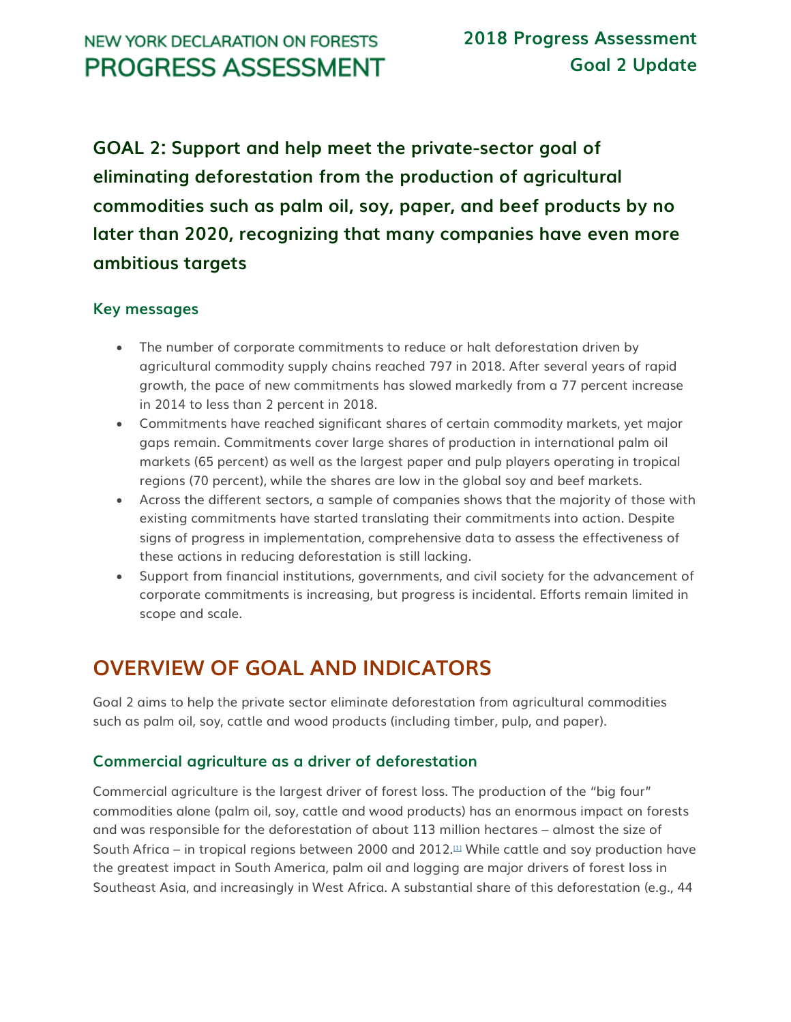**GOAL 2: Support and help meet the private-sector goal of eliminating deforestation from the production of agricultural commodities such as palm oil, soy, paper, and beef products by no later than 2020, recognizing that many companies have even more ambitious targets**

#### **Key messages**

- The number of corporate commitments to reduce or halt deforestation driven by agricultural commodity supply chains reached 797 in 2018. After several years of rapid growth, the pace of new commitments has slowed markedly from a 77 percent increase in 2014 to less than 2 percent in 2018.
- Commitments have reached significant shares of certain commodity markets, yet major gaps remain. Commitments cover large shares of production in international palm oil markets (65 percent) as well as the largest paper and pulp players operating in tropical regions (70 percent), while the shares are low in the global soy and beef markets.
- Across the different sectors, a sample of companies shows that the majority of those with existing commitments have started translating their commitments into action. Despite signs of progress in implementation, comprehensive data to assess the effectiveness of these actions in reducing deforestation is still lacking.
- Support from financial institutions, governments, and civil society for the advancement of corporate commitments is increasing, but progress is incidental. Efforts remain limited in scope and scale.

# **OVERVIEW OF GOAL AND INDICATORS**

Goal 2 aims to help the private sector eliminate deforestation from agricultural commodities such as palm oil, soy, cattle and wood products (including timber, pulp, and paper).

#### **Commercial agriculture as a driver of deforestation**

Commercial agriculture is the largest driver of forest loss. The production of the "big four" commodities alone (palm oil, soy, cattle and wood products) has an enormous impact on forests and was responsible for the deforestation of about 113 million hectares – almost the size of South Africa – in tropical regions between 2000 and 2012. $\mu$  While cattle and soy production have the greatest impact in South America, palm oil and logging are major drivers of forest loss in Southeast Asia, and increasingly in West Africa. A substantial share of this deforestation (e.g., 44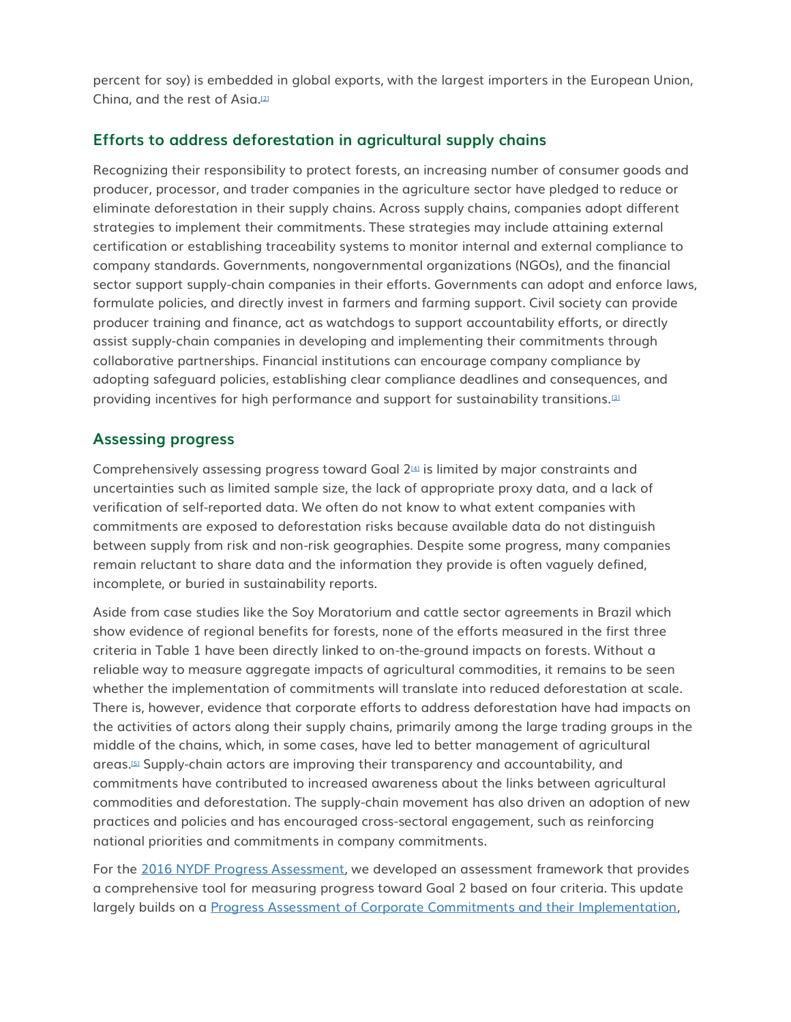percent for soy) is embedded in global exports, with the largest importers in the European Union, China, and the rest of Asia.[\[2\]](http://forestdeclaration.org/goal/goal-2/#_edn2)

#### **Efforts to address deforestation in agricultural supply chains**

Recognizing their responsibility to protect forests, an increasing number of consumer goods and producer, processor, and trader companies in the agriculture sector have pledged to reduce or eliminate deforestation in their supply chains. Across supply chains, companies adopt different strategies to implement their commitments. These strategies may include attaining external certification or establishing traceability systems to monitor internal and external compliance to company standards. Governments, nongovernmental organizations (NGOs), and the financial sector support supply-chain companies in their efforts. Governments can adopt and enforce laws, formulate policies, and directly invest in farmers and farming support. Civil society can provide producer training and finance, act as watchdogs to support accountability efforts, or directly assist supply-chain companies in developing and implementing their commitments through collaborative partnerships. Financial institutions can encourage company compliance by adopting safeguard policies, establishing clear compliance deadlines and consequences, and providing incentives for high performance and support for sustainability transitions.[\[3\]](http://forestdeclaration.org/goal/goal-2/#_edn3)

#### **Assessing progress**

Comprehensively assessing progress toward Goal 2<sup>[\[4\]](http://forestdeclaration.org/goal/goal-2/#_edn4)</sup> is limited by major constraints and uncertainties such as limited sample size, the lack of appropriate proxy data, and a lack of verification of self-reported data. We often do not know to what extent companies with commitments are exposed to deforestation risks because available data do not distinguish between supply from risk and non-risk geographies. Despite some progress, many companies remain reluctant to share data and the information they provide is often vaguely defined, incomplete, or buried in sustainability reports.

Aside from case studies like the Soy Moratorium and cattle sector agreements in Brazil which show evidence of regional benefits for forests, none of the efforts measured in the first three criteria in Table 1 have been directly linked to on-the-ground impacts on forests. Without a reliable way to measure aggregate impacts of agricultural commodities, it remains to be seen whether the implementation of commitments will translate into reduced deforestation at scale. There is, however, evidence that corporate efforts to address deforestation have had impacts on the activities of actors along their supply chains, primarily among the large trading groups in the middle of the chains, which, in some cases, have led to better management of agricultural areas.[\[5\]](http://forestdeclaration.org/goal/goal-2/#_edn5) Supply-chain actors are improving their transparency and accountability, and commitments have contributed to increased awareness about the links between agricultural commodities and deforestation. The supply-chain movement has also driven an adoption of new practices and policies and has encouraged cross-sectoral engagement, such as reinforcing national priorities and commitments in company commitments.

For the [2016 NYDF Progress Assessment,](http://forestdeclaration.org/wp-content/uploads/2015/09/2016-NYDF-Goal-2-Assessment-Report1.pdf) we developed an assessment framework that provides a comprehensive tool for measuring progress toward Goal 2 based on four criteria. This update largely builds on a [Progress Assessment of Corporate Commitments and their Implementation,](https://www.tfa2020.org/wp-content/uploads/2018/06/Progress-on-Corporate-Commitments-and-their-Implementation.pdf)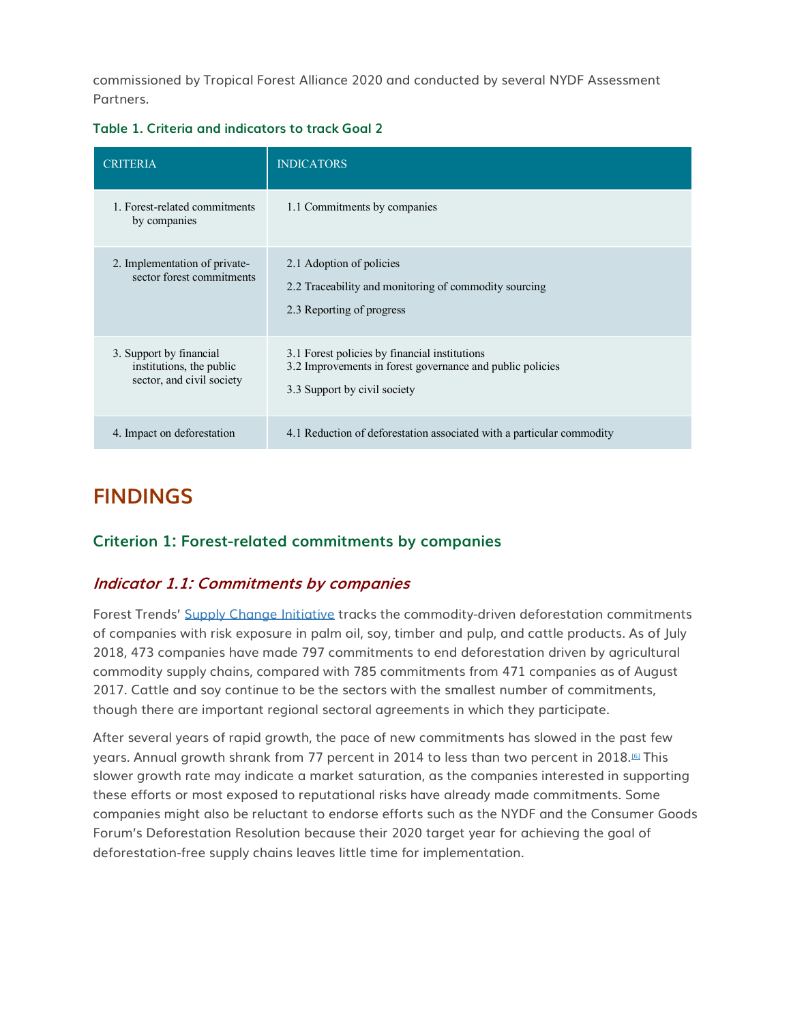commissioned by Tropical Forest Alliance 2020 and conducted by several NYDF Assessment Partners.

**Table 1. Criteria and indicators to track Goal 2**

| <b>CRITERIA</b>                                                                  | <b>INDICATORS</b>                                                                                                                          |
|----------------------------------------------------------------------------------|--------------------------------------------------------------------------------------------------------------------------------------------|
| 1. Forest-related commitments<br>by companies                                    | 1.1 Commitments by companies                                                                                                               |
| 2. Implementation of private-<br>sector forest commitments                       | 2.1 Adoption of policies<br>2.2 Traceability and monitoring of commodity sourcing<br>2.3 Reporting of progress                             |
| 3. Support by financial<br>institutions, the public<br>sector, and civil society | 3.1 Forest policies by financial institutions<br>3.2 Improvements in forest governance and public policies<br>3.3 Support by civil society |
| 4. Impact on deforestation                                                       | 4.1 Reduction of deforestation associated with a particular commodity                                                                      |

## **FINDINGS**

## **Criterion 1: Forest-related commitments by companies**

## **Indicator 1.1: Commitments by companies**

Forest Trends' [Supply Change Initiative](http://www.supply-change.org/) tracks the commodity-driven deforestation commitments of companies with risk exposure in palm oil, soy, timber and pulp, and cattle products. As of July 2018, 473 companies have made 797 commitments to end deforestation driven by agricultural commodity supply chains, compared with 785 commitments from 471 companies as of August 2017. Cattle and soy continue to be the sectors with the smallest number of commitments, though there are important regional sectoral agreements in which they participate.

After several years of rapid growth, the pace of new commitments has slowed in the past few years. Annual growth shrank from 77 percent in 2014 to less than two percent in 2018.<sup>61</sup> This slower growth rate may indicate a market saturation, as the companies interested in supporting these efforts or most exposed to reputational risks have already made commitments. Some companies might also be reluctant to endorse efforts such as the NYDF and the Consumer Goods Forum's Deforestation Resolution because their 2020 target year for achieving the goal of deforestation-free supply chains leaves little time for implementation.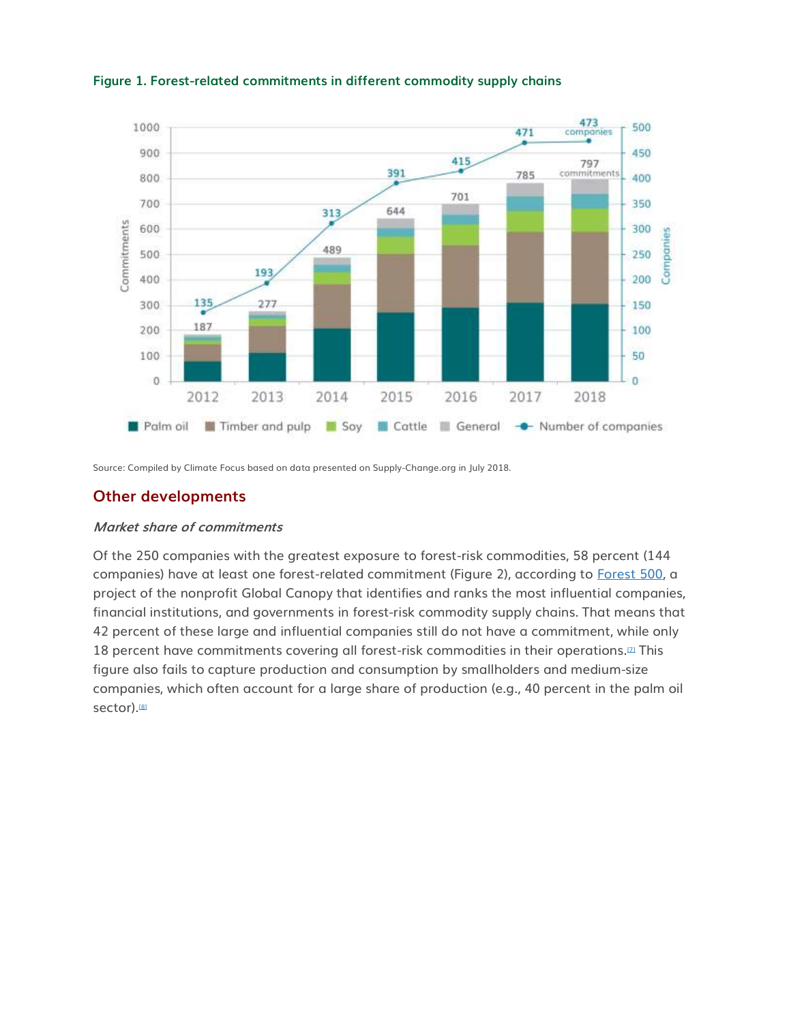

#### **Figure 1. Forest-related commitments in different commodity supply chains**

Source: Compiled by Climate Focus based on data presented on Supply-Change.org in July 2018.

#### **Other developments**

#### **Market share of commitments**

Of the 250 companies with the greatest exposure to forest-risk commodities, 58 percent (144 companies) have at least one forest-related commitment (Figure 2), according to [Forest 500,](https://forest500.org/) a project of the nonprofit Global Canopy that identifies and ranks the most influential companies, financial institutions, and governments in forest-risk commodity supply chains. That means that 42 percent of these large and influential companies still do not have a commitment, while only 18 percent have commitments covering all forest-risk commodities in their operations.<sup>[2]</sup> This figure also fails to capture production and consumption by smallholders and medium-size companies, which often account for a large share of production (e.g., 40 percent in the palm oil sector).<sup>[\[8\]](http://forestdeclaration.org/goal/goal-2/#_edn8)</sup>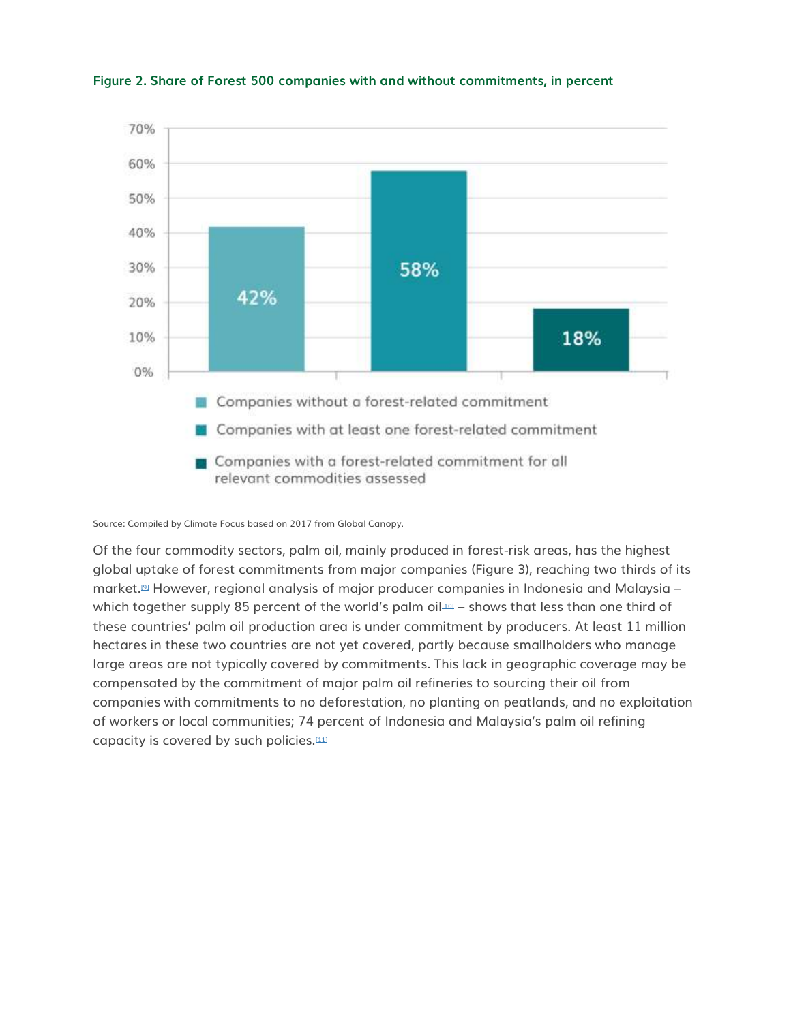

**Figure 2. Share of Forest 500 companies with and without commitments, in percent**

Source: Compiled by Climate Focus based on 2017 from Global Canopy.

Of the four commodity sectors, palm oil, mainly produced in forest-risk areas, has the highest global uptake of forest commitments from major companies (Figure 3), reaching two thirds of its market.[\[9\]](http://forestdeclaration.org/goal/goal-2/#_edn9) However, regional analysis of major producer companies in Indonesia and Malaysia – which together supply 85 percent of the world's palm oil $100$  – shows that less than one third of these countries' palm oil production area is under commitment by producers. At least 11 million hectares in these two countries are not yet covered, partly because smallholders who manage large areas are not typically covered by commitments. This lack in geographic coverage may be compensated by the commitment of major palm oil refineries to sourcing their oil from companies with commitments to no deforestation, no planting on peatlands, and no exploitation of workers or local communities; 74 percent of Indonesia and Malaysia's palm oil refining capacity is covered by such policies.<sup>[\[11\]](http://forestdeclaration.org/goal/goal-2/#_edn11)</sup>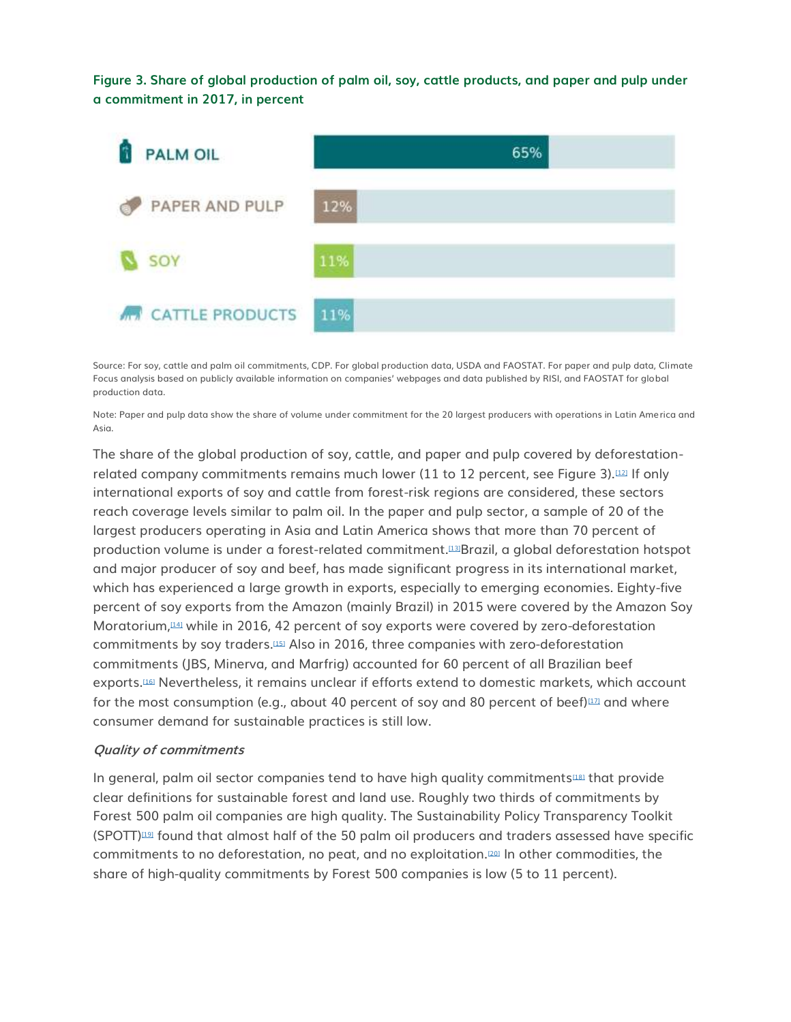**Figure 3. Share of global production of palm oil, soy, cattle products, and paper and pulp under a commitment in 2017, in percent**



Source: For soy, cattle and palm oil commitments, CDP. For global production data, USDA and FAOSTAT. For paper and pulp data, Climate Focus analysis based on publicly available information on companies' webpages and data published by RISI, and FAOSTAT for global production data.

Note: Paper and pulp data show the share of volume under commitment for the 20 largest producers with operations in Latin America and Asia.

The share of the global production of soy, cattle, and paper and pulp covered by deforestation-related company commitments remains much lower (11 to 12 percent, see Figure 3).<sup>[\[12\]](http://forestdeclaration.org/goal/goal-2/#_edn12)</sup> If only international exports of soy and cattle from forest-risk regions are considered, these sectors reach coverage levels similar to palm oil. In the paper and pulp sector, a sample of 20 of the largest producers operating in Asia and Latin America shows that more than 70 percent of production volume is under a forest-related commitment.[\[13\]](http://forestdeclaration.org/goal/goal-2/#_edn13)Brazil, a global deforestation hotspot and major producer of soy and beef, has made significant progress in its international market, which has experienced a large growth in exports, especially to emerging economies. Eighty-five percent of soy exports from the Amazon (mainly Brazil) in 2015 were covered by the Amazon Soy Moratorium,[\[14\]](http://forestdeclaration.org/goal/goal-2/#_edn14) while in 2016, 42 percent of soy exports were covered by zero-deforestation commitments by soy traders.[\[15\]](http://forestdeclaration.org/goal/goal-2/#_edn15) Also in 2016, three companies with zero-deforestation commitments (JBS, Minerva, and Marfrig) accounted for 60 percent of all Brazilian beef exports.[\[16\]](http://forestdeclaration.org/goal/goal-2/#_edn16) Nevertheless, it remains unclear if efforts extend to domestic markets, which account for the most consumption (e.g., about 40 percent of soy and 80 percent of beef) $\mu$ *n* and where consumer demand for sustainable practices is still low.

#### **Quality of commitments**

In general, palm oil sector companies tend to have high quality commitments<sup>[\[18\]](http://forestdeclaration.org/goal/goal-2/#_edn18)</sup> that provide clear definitions for sustainable forest and land use. Roughly two thirds of commitments by Forest 500 palm oil companies are high quality. The Sustainability Policy Transparency Toolkit  $(SPOTT)^{\text{full}}$  found that almost half of the 50 palm oil producers and traders assessed have specific commitments to no deforestation, no peat, and no exploitation.[\[20\]](http://forestdeclaration.org/goal/goal-2/#_edn20) In other commodities, the share of high-quality commitments by Forest 500 companies is low (5 to 11 percent).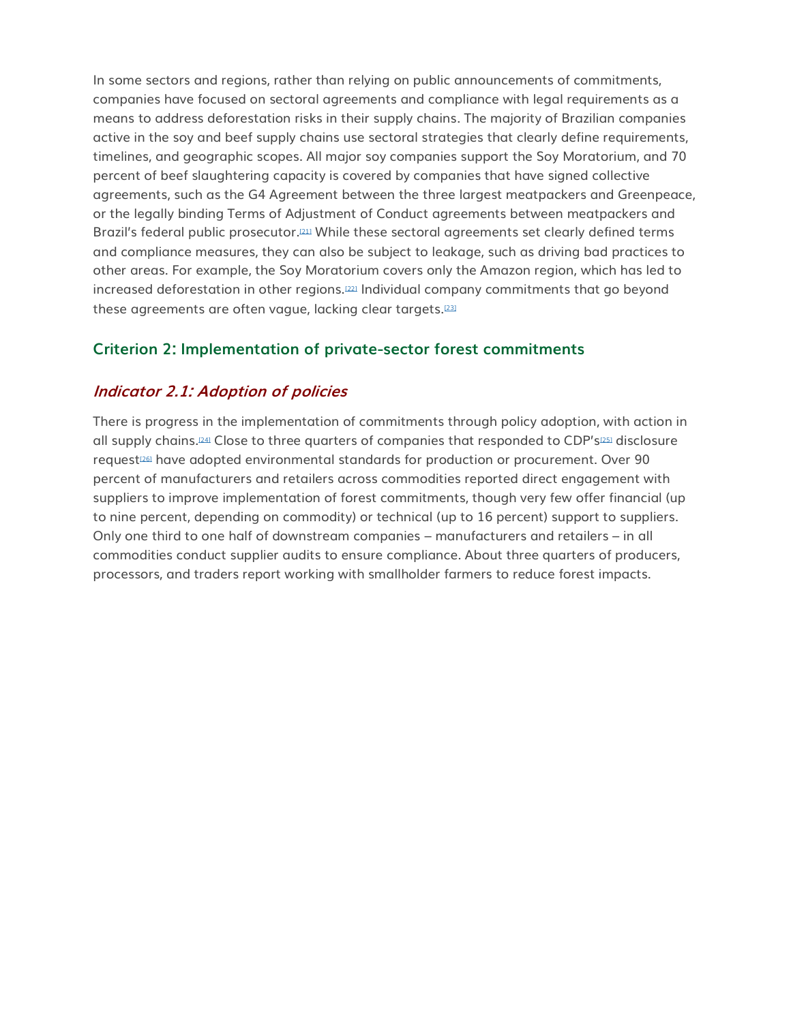In some sectors and regions, rather than relying on public announcements of commitments, companies have focused on sectoral agreements and compliance with legal requirements as a means to address deforestation risks in their supply chains. The majority of Brazilian companies active in the soy and beef supply chains use sectoral strategies that clearly define requirements, timelines, and geographic scopes. All major soy companies support the Soy Moratorium, and 70 percent of beef slaughtering capacity is covered by companies that have signed collective agreements, such as the G4 Agreement between the three largest meatpackers and Greenpeace, or the legally binding Terms of Adjustment of Conduct agreements between meatpackers and Brazil's federal public prosecutor.[\[21\]](http://forestdeclaration.org/goal/goal-2/#_edn21) While these sectoral agreements set clearly defined terms and compliance measures, they can also be subject to leakage, such as driving bad practices to other areas. For example, the Soy Moratorium covers only the Amazon region, which has led to increased deforestation in other regions.[\[22\]](http://forestdeclaration.org/goal/goal-2/#_edn22) Individual company commitments that go beyond these agreements are often vague, lacking clear targets.[\[23\]](http://forestdeclaration.org/goal/goal-2/#_edn23)

#### **Criterion 2: Implementation of private-sector forest commitments**

#### **Indicator 2.1: Adoption of policies**

There is progress in the implementation of commitments through policy adoption, with action in all supply chains.<sup>[\[24\]](http://forestdeclaration.org/goal/goal-2/#_edn24)</sup> Close to three quarters of companies that responded to CDP's<sup>[\[25\]](http://forestdeclaration.org/goal/goal-2/#_edn25)</sup> disclosure request<sup>[\[26\]](http://forestdeclaration.org/goal/goal-2/#_edn26)</sup> have adopted environmental standards for production or procurement. Over 90 percent of manufacturers and retailers across commodities reported direct engagement with suppliers to improve implementation of forest commitments, though very few offer financial (up to nine percent, depending on commodity) or technical (up to 16 percent) support to suppliers. Only one third to one half of downstream companies – manufacturers and retailers – in all commodities conduct supplier audits to ensure compliance. About three quarters of producers, processors, and traders report working with smallholder farmers to reduce forest impacts.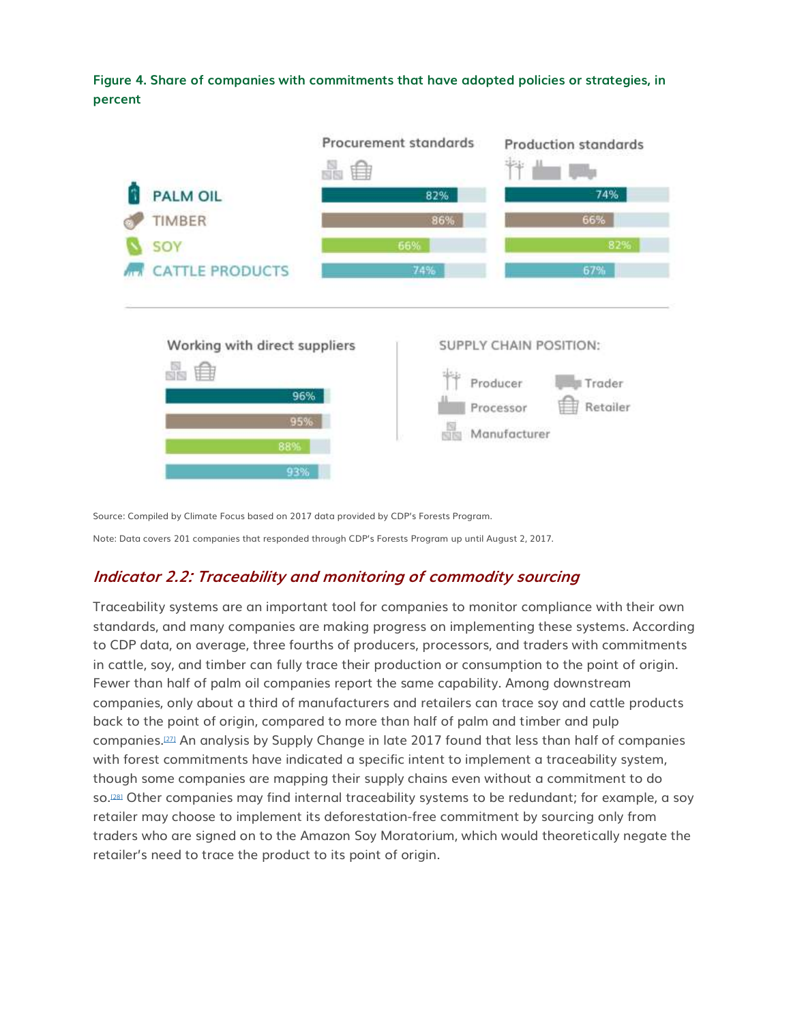

Source: Compiled by Climate Focus based on 2017 data provided by CDP's Forests Program.

Note: Data covers 201 companies that responded through CDP's Forests Program up until August 2, 2017.

## **Indicator 2.2: Traceability and monitoring of commodity sourcing**

Traceability systems are an important tool for companies to monitor compliance with their own standards, and many companies are making progress on implementing these systems. According to CDP data, on average, three fourths of producers, processors, and traders with commitments in cattle, soy, and timber can fully trace their production or consumption to the point of origin. Fewer than half of palm oil companies report the same capability. Among downstream companies, only about a third of manufacturers and retailers can trace soy and cattle products back to the point of origin, compared to more than half of palm and timber and pulp companies.[\[27\]](http://forestdeclaration.org/goal/goal-2/#_edn27) An analysis by Supply Change in late 2017 found that less than half of companies with forest commitments have indicated a specific intent to implement a traceability system, though some companies are mapping their supply chains even without a commitment to do so.<sup>[\[28\]](http://forestdeclaration.org/goal/goal-2/#_edn28)</sup> Other companies may find internal traceability systems to be redundant; for example, a soy retailer may choose to implement its deforestation-free commitment by sourcing only from traders who are signed on to the Amazon Soy Moratorium, which would theoretically negate the retailer's need to trace the product to its point of origin.

**Figure 4. Share of companies with commitments that have adopted policies or strategies, in percent**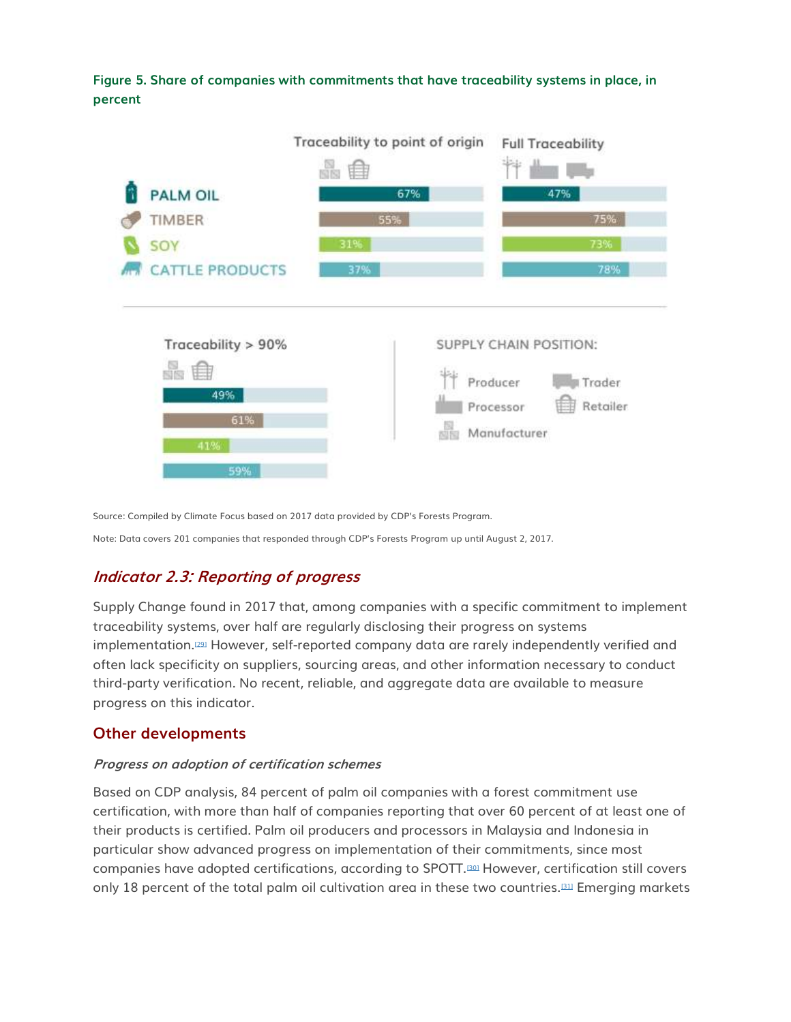

**Figure 5. Share of companies with commitments that have traceability systems in place, in percent**

Source: Compiled by Climate Focus based on 2017 data provided by CDP's Forests Program.

Note: Data covers 201 companies that responded through CDP's Forests Program up until August 2, 2017.

## **Indicator 2.3: Reporting of progress**

Supply Change found in 2017 that, among companies with a specific commitment to implement traceability systems, over half are regularly disclosing their progress on systems implementation.<sup>[\[29\]](http://forestdeclaration.org/goal/goal-2/#_edn29)</sup> However, self-reported company data are rarely independently verified and often lack specificity on suppliers, sourcing areas, and other information necessary to conduct third-party verification. No recent, reliable, and aggregate data are available to measure progress on this indicator.

#### **Other developments**

#### **Progress on adoption of certification schemes**

Based on CDP analysis, 84 percent of palm oil companies with a forest commitment use certification, with more than half of companies reporting that over 60 percent of at least one of their products is certified. Palm oil producers and processors in Malaysia and Indonesia in particular show advanced progress on implementation of their commitments, since most companies have adopted certifications, according to SPOTT.[\[30\]](http://forestdeclaration.org/goal/goal-2/#_edn30) However, certification still covers only 18 percent of the total palm oil cultivation area in these two countries.<sup>[\[31\]](http://forestdeclaration.org/goal/goal-2/#_edn31)</sup> Emerging markets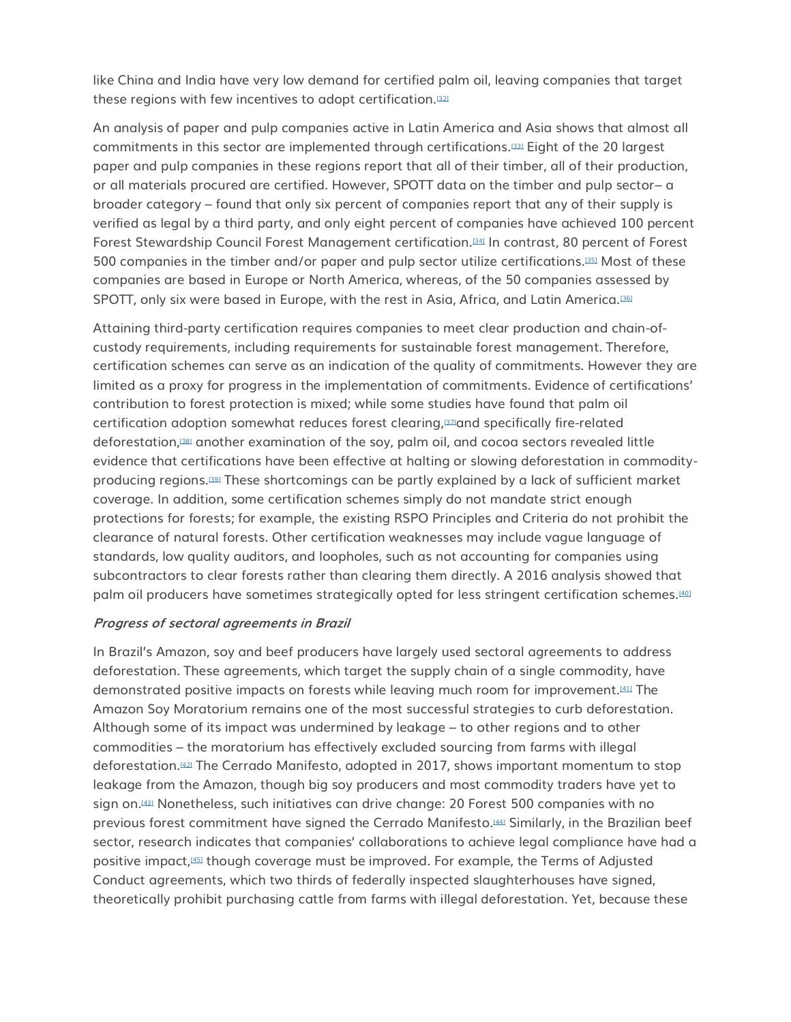like China and India have very low demand for certified palm oil, leaving companies that target these regions with few incentives to adopt certification.<sup>[\[32\]](http://forestdeclaration.org/goal/goal-2/#_edn32)</sup>

An analysis of paper and pulp companies active in Latin America and Asia shows that almost all commitments in this sector are implemented through certifications.[\[33\]](http://forestdeclaration.org/goal/goal-2/#_edn33) Eight of the 20 largest paper and pulp companies in these regions report that all of their timber, all of their production, or all materials procured are certified. However, SPOTT data on the timber and pulp sector– a broader category – found that only six percent of companies report that any of their supply is verified as legal by a third party, and only eight percent of companies have achieved 100 percent Forest Stewardship Council Forest Management certification.[\[34\]](http://forestdeclaration.org/goal/goal-2/#_edn34) In contrast, 80 percent of Forest 500 companies in the timber and/or paper and pulp sector utilize certifications.[\[35\]](http://forestdeclaration.org/goal/goal-2/#_edn35) Most of these companies are based in Europe or North America, whereas, of the 50 companies assessed by SPOTT, only six were based in Europe, with the rest in Asia, Africa, and Latin America.<sup>[\[36\]](http://forestdeclaration.org/goal/goal-2/#_edn36)</sup>

Attaining third-party certification requires companies to meet clear production and chain-ofcustody requirements, including requirements for sustainable forest management. Therefore, certification schemes can serve as an indication of the quality of commitments. However they are limited as a proxy for progress in the implementation of commitments. Evidence of certifications' contribution to forest protection is mixed; while some studies have found that palm oil certification adoption somewhat reduces forest clearing,[\[37\]](http://forestdeclaration.org/goal/goal-2/#_edn37)and specifically fire-related deforestation,[\[38\]](http://forestdeclaration.org/goal/goal-2/#_edn38) another examination of the soy, palm oil, and cocoa sectors revealed little evidence that certifications have been effective at halting or slowing deforestation in commodityproducing regions.[\[39\]](http://forestdeclaration.org/goal/goal-2/#_edn39) These shortcomings can be partly explained by a lack of sufficient market coverage. In addition, some certification schemes simply do not mandate strict enough protections for forests; for example, the existing RSPO Principles and Criteria do not prohibit the clearance of natural forests. Other certification weaknesses may include vague language of standards, low quality auditors, and loopholes, such as not accounting for companies using subcontractors to clear forests rather than clearing them directly. A 2016 analysis showed that palm oil producers have sometimes strategically opted for less stringent certification schemes.<sup>[\[40\]](http://forestdeclaration.org/goal/goal-2/#_edn40)</sup>

#### **Progress of sectoral agreements in Brazil**

In Brazil's Amazon, soy and beef producers have largely used sectoral agreements to address deforestation. These agreements, which target the supply chain of a single commodity, have demonstrated positive impacts on forests while leaving much room for improvement.[\[41\]](http://forestdeclaration.org/goal/goal-2/#_edn41) The Amazon Soy Moratorium remains one of the most successful strategies to curb deforestation. Although some of its impact was undermined by leakage – to other regions and to other commodities – the moratorium has effectively excluded sourcing from farms with illegal deforestation.[\[42\]](http://forestdeclaration.org/goal/goal-2/#_edn42) The Cerrado Manifesto, adopted in 2017, shows important momentum to stop leakage from the Amazon, though big soy producers and most commodity traders have yet to sign on.[\[43\]](http://forestdeclaration.org/goal/goal-2/#_edn43) Nonetheless, such initiatives can drive change: 20 Forest 500 companies with no previous forest commitment have signed the Cerrado Manifesto.[\[44\]](http://forestdeclaration.org/goal/goal-2/#_edn44) Similarly, in the Brazilian beef sector, research indicates that companies' collaborations to achieve legal compliance have had a positive impact,[\[45\]](http://forestdeclaration.org/goal/goal-2/#_edn45) though coverage must be improved. For example, the Terms of Adjusted Conduct agreements, which two thirds of federally inspected slaughterhouses have signed, theoretically prohibit purchasing cattle from farms with illegal deforestation. Yet, because these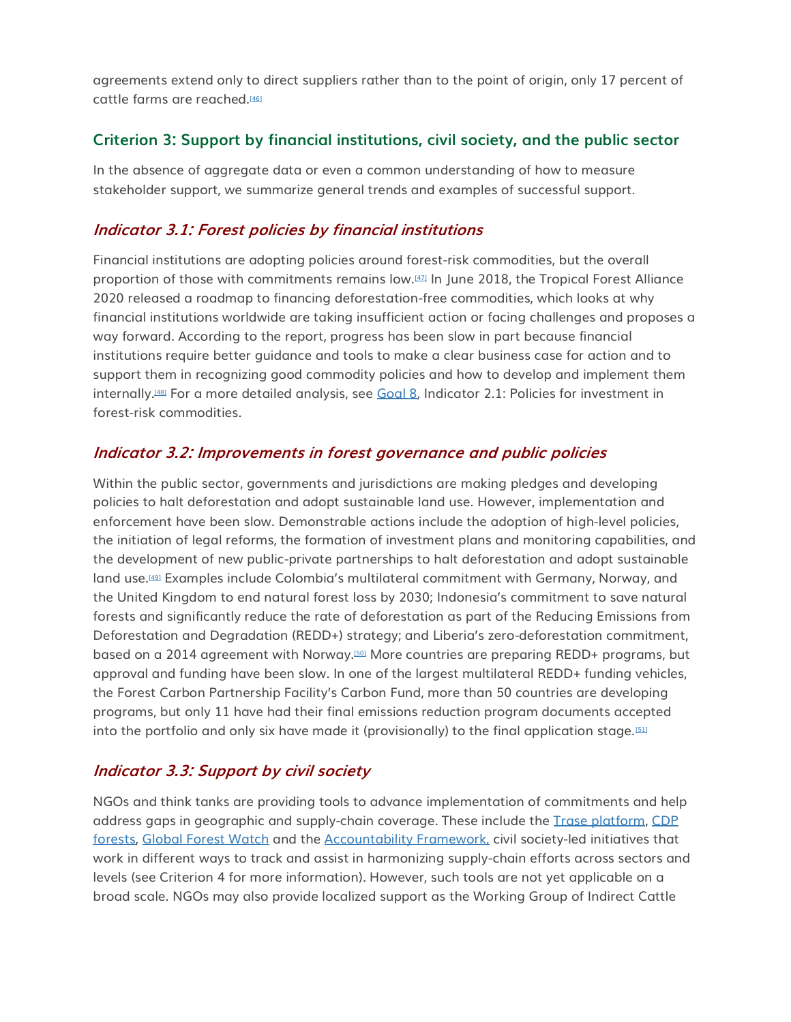agreements extend only to direct suppliers rather than to the point of origin, only 17 percent of cattle farms are reached.<sup>[\[46\]](http://forestdeclaration.org/goal/goal-2/#_edn46)</sup>

#### **Criterion 3: Support by financial institutions, civil society, and the public sector**

In the absence of aggregate data or even a common understanding of how to measure stakeholder support, we summarize general trends and examples of successful support.

## **Indicator 3.1: Forest policies by financial institutions**

Financial institutions are adopting policies around forest-risk commodities, but the overall proportion of those with commitments remains low.[\[47\]](http://forestdeclaration.org/goal/goal-2/#_edn47) In June 2018, the Tropical Forest Alliance 2020 released a roadmap to financing deforestation-free commodities, which looks at why financial institutions worldwide are taking insufficient action or facing challenges and proposes a way forward. According to the report, progress has been slow in part because financial institutions require better guidance and tools to make a clear business case for action and to support them in recognizing good commodity policies and how to develop and implement them internally.[\[48\]](http://forestdeclaration.org/goal/goal-2/#_edn48) For a more detailed analysis, see [Goal 8](http://forestdeclaration.org/goal/goal-8/)*,* Indicator 2.1: Policies for investment in forest-risk commodities*.*

## **Indicator 3.2: Improvements in forest governance and public policies**

Within the public sector, governments and jurisdictions are making pledges and developing policies to halt deforestation and adopt sustainable land use. However, implementation and enforcement have been slow. Demonstrable actions include the adoption of high-level policies, the initiation of legal reforms, the formation of investment plans and monitoring capabilities, and the development of new public-private partnerships to halt deforestation and adopt sustainable land use.[\[49\]](http://forestdeclaration.org/goal/goal-2/#_edn49) Examples include Colombia's multilateral commitment with Germany, Norway, and the United Kingdom to end natural forest loss by 2030; Indonesia's commitment to save natural forests and significantly reduce the rate of deforestation as part of the Reducing Emissions from Deforestation and Degradation (REDD+) strategy; and Liberia's zero-deforestation commitment, based on a 2014 agreement with Norway.[\[50\]](http://forestdeclaration.org/goal/goal-2/#_edn50) More countries are preparing REDD+ programs, but approval and funding have been slow. In one of the largest multilateral REDD+ funding vehicles, the Forest Carbon Partnership Facility's Carbon Fund, more than 50 countries are developing programs, but only 11 have had their final emissions reduction program documents accepted into the portfolio and only six have made it (provisionally) to the final application stage.<sup>[\[51\]](http://forestdeclaration.org/goal/goal-2/#_edn51)</sup>

## **Indicator 3.3: Support by civil society**

NGOs and think tanks are providing tools to advance implementation of commitments and help address gaps in geographic and supply-chain coverage. These include the [Trase platform,](https://trase.earth/?lang=en) [CDP](https://www.cdp.net/en/forests)  [forests,](https://www.cdp.net/en/forests) [Global Forest Watch](https://www.globalforestwatch.org/) and the [Accountability Framework,](https://accountability-framework.org/) civil society-led initiatives that work in different ways to track and assist in harmonizing supply-chain efforts across sectors and levels (see Criterion 4 for more information). However, such tools are not yet applicable on a broad scale. NGOs may also provide localized support as the Working Group of Indirect Cattle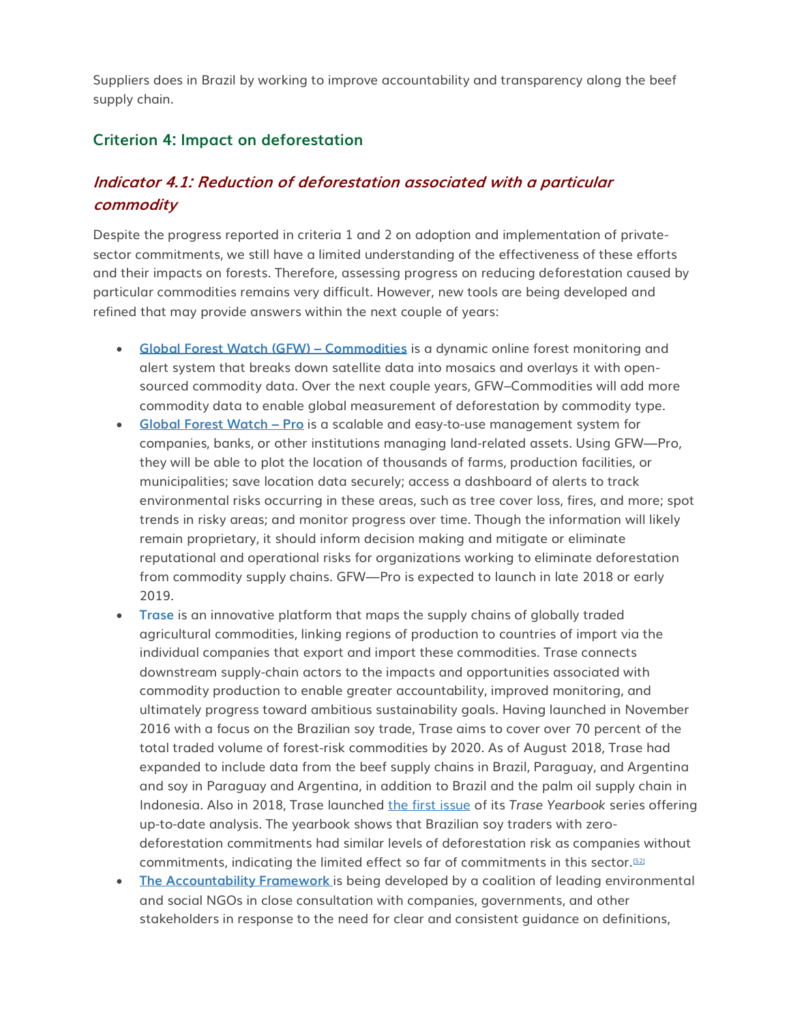Suppliers does in Brazil by working to improve accountability and transparency along the beef supply chain.

## **Criterion 4: Impact on deforestation**

## **Indicator 4.1: Reduction of deforestation associated with a particular commodity**

Despite the progress reported in criteria 1 and 2 on adoption and implementation of privatesector commitments, we still have a limited understanding of the effectiveness of these efforts and their impacts on forests. Therefore, assessing progress on reducing deforestation caused by particular commodities remains very difficult. However, new tools are being developed and refined that may provide answers within the next couple of years:

- **[Global Forest Watch \(GFW\)](http://commodities.globalforestwatch.org/#v=home) – Commodities** is a dynamic online forest monitoring and alert system that breaks down satellite data into mosaics and overlays it with opensourced commodity data. Over the next couple years, GFW–Commodities will add more commodity data to enable global measurement of deforestation by commodity type.
- **[Global Forest Watch](http://pro.globalforestwatch.org/) – Pro** is a scalable and easy-to-use management system for companies, banks, or other institutions managing land-related assets. Using GFW—Pro, they will be able to plot the location of thousands of farms, production facilities, or municipalities; save location data securely; access a dashboard of alerts to track environmental risks occurring in these areas, such as tree cover loss, fires, and more; spot trends in risky areas; and monitor progress over time. Though the information will likely remain proprietary, it should inform decision making and mitigate or eliminate reputational and operational risks for organizations working to eliminate deforestation from commodity supply chains. GFW—Pro is expected to launch in late 2018 or early 2019.
- **[Trase](https://trase.earth/)** is an innovative platform that maps the supply chains of globally traded agricultural commodities, linking regions of production to countries of import via the individual companies that export and import these commodities. Trase connects downstream supply-chain actors to the impacts and opportunities associated with commodity production to enable greater accountability, improved monitoring, and ultimately progress toward ambitious sustainability goals. Having launched in November 2016 with a focus on the Brazilian soy trade, Trase aims to cover over 70 percent of the total traded volume of forest-risk commodities by 2020. As of August 2018, Trase had expanded to include data from the beef supply chains in Brazil, Paraguay, and Argentina and soy in Paraguay and Argentina, in addition to Brazil and the palm oil supply chain in Indonesia. Also in 2018, Trase launched [the first issue](http://yearbook2018.trase.earth/) of its *Trase Yearbook* series offering up-to-date analysis. The yearbook shows that Brazilian soy traders with zerodeforestation commitments had similar levels of deforestation risk as companies without commitments, indicating the limited effect so far of commitments in this sector.[\[52\]](http://forestdeclaration.org/goal/goal-2/#_edn52)
- **[The Accountability Framework](https://accountability-framework.org/)** is being developed by a coalition of leading environmental and social NGOs in close consultation with companies, governments, and other stakeholders in response to the need for clear and consistent guidance on definitions,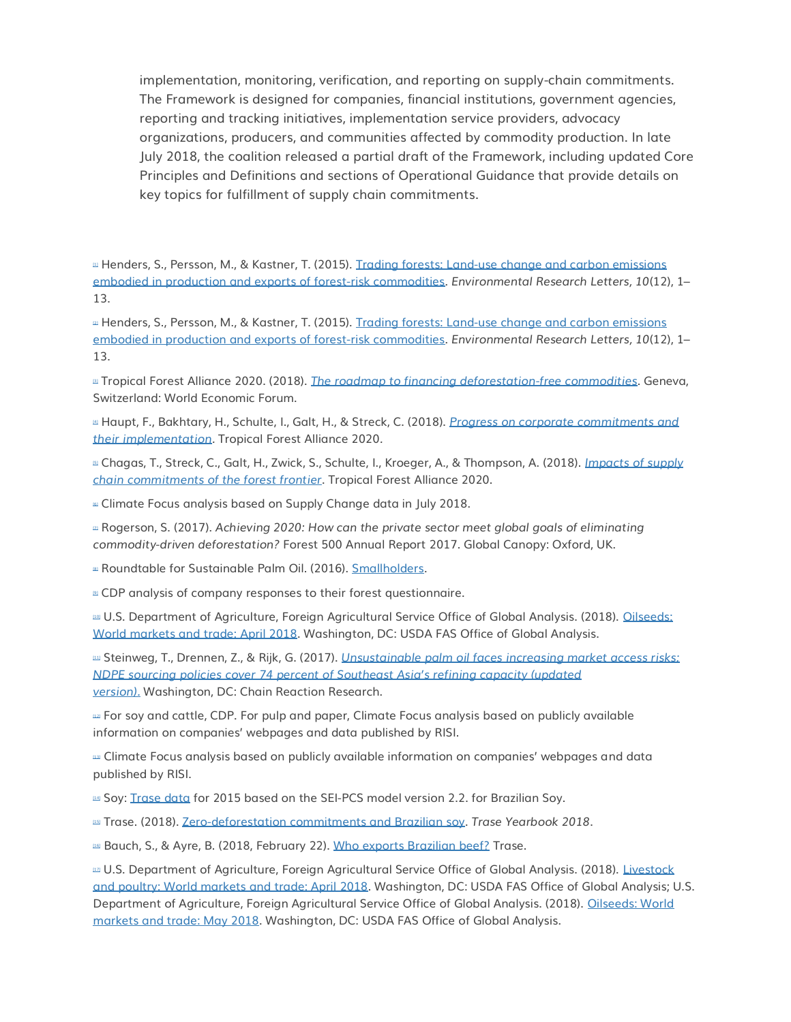implementation, monitoring, verification, and reporting on supply-chain commitments. The Framework is designed for companies, financial institutions, government agencies, reporting and tracking initiatives, implementation service providers, advocacy organizations, producers, and communities affected by commodity production. In late July 2018, the coalition released a partial draft of the Framework, including updated Core Principles and Definitions and sections of Operational Guidance that provide details on key topics for fulfillment of supply chain commitments.

Latter Henders, S., Persson, M., & Kastner, T. (2015). Trading forests: Land-use change and carbon emissions [embodied in production and exports of forest-risk commodities.](http://iopscience.iop.org/article/10.1088/1748-9326/10/12/125012/pdf) *Environmental Research Letters, 10*(12), 1– 13.

 $\mu$  Henders, S., Persson, M., & Kastner, T. (2015). Trading forests: Land-use change and carbon emissions [embodied in production and exports of forest-risk commodities.](http://iopscience.iop.org/article/10.1088/1748-9326/10/12/125012/pdf) *Environmental Research Letters, 10*(12), 1– 13.

[\[3\]](http://forestdeclaration.org/goal/goal-2/#_ednref3) Tropical Forest Alliance 2020. (2018). *[The roadmap to financing deforestation-free commodities](https://www.tfa2020.org/wp-content/uploads/2018/06/The-Roadmap-to-Financing-Deforestation-Free-Commodities.pdf)*. Geneva, Switzerland: World Economic Forum.

[\[4\]](http://forestdeclaration.org/goal/goal-2/#_ednref4) Haupt, F., Bakhtary, H., Schulte, I., Galt, H., & Streck, C. (2018). *[Progress on corporate commitments and](https://www.tfa2020.org/wp-content/uploads/2018/06/Progress-on-Corporate-Commitments-and-their-Implementation.pdf)  [their implementation.](https://www.tfa2020.org/wp-content/uploads/2018/06/Progress-on-Corporate-Commitments-and-their-Implementation.pdf)* Tropical Forest Alliance 2020*.*

[\[5\]](http://forestdeclaration.org/goal/goal-2/#_ednref5) Chagas, T., Streck, C., Galt, H., Zwick, S., Schulte, I., Kroeger, A., & Thompson, A. (2018). *[Impacts of supply](https://climatefocus.com/sites/default/files/20180626%20WP2%20Report.pdf)  [chain commitments of the forest frontier](https://climatefocus.com/sites/default/files/20180626%20WP2%20Report.pdf)*. Tropical Forest Alliance 2020.

**Example Focus analysis based on Supply Change data in July 2018.** 

[\[7\]](http://forestdeclaration.org/goal/goal-2/#_ednref7) Rogerson, S. (2017). *Achieving 2020: How can the private sector meet global goals of eliminating commodity-driven deforestation?* Forest 500 Annual Report 2017. Global Canopy: Oxford, UK.

**a** Roundtable for Sustainable Palm Oil. (2016). [Smallholders.](https://rspo.org/smallholders)

 $\approx$  CDP analysis of company responses to their forest questionnaire.

[\[10\]](http://forestdeclaration.org/goal/goal-2/#_ednref10) U.S. Department of Agriculture, Foreign Agricultural Service Office of Global Analysis. (2018). [Oilseeds:](http://usda.mannlib.cornell.edu/usda/fas/oilseed-trade/2010s/2018/oilseed-trade-04-10-2018.pdf)  [World markets and trade: April 2018.](http://usda.mannlib.cornell.edu/usda/fas/oilseed-trade/2010s/2018/oilseed-trade-04-10-2018.pdf) Washington, DC: USDA FAS Office of Global Analysis.

[\[11\]](http://forestdeclaration.org/goal/goal-2/#_ednref11) Steinweg, T., Drennen, Z., & Rijk, G. (2017). *[Unsustainable palm oil faces increasing market access risks:](https://chainreactionresearch.com/wp-content/uploads/2017/11/unsustainable-palm-oil-faces-increasing-market-access-risks-final-1_updated-july-2018.pdf)  NDPE sourcing policies cover [74 percent of Southeast Asia's refining capacity \(updated](https://chainreactionresearch.com/wp-content/uploads/2017/11/unsustainable-palm-oil-faces-increasing-market-access-risks-final-1_updated-july-2018.pdf)  [version\).](https://chainreactionresearch.com/wp-content/uploads/2017/11/unsustainable-palm-oil-faces-increasing-market-access-risks-final-1_updated-july-2018.pdf)* Washington, DC: Chain Reaction Research.

[\[12\]](http://forestdeclaration.org/goal/goal-2/#_ednref12) For soy and cattle, CDP. For pulp and paper, Climate Focus analysis based on publicly available information on companies' webpages and data published by RISI.

[\[13\]](http://forestdeclaration.org/goal/goal-2/#_ednref13) Climate Focus analysis based on publicly available information on companies' webpages and data published by RISI.

Lan Soy: [Trase data](https://trase.earth/?lang=en) for 2015 based on the SEI-PCS model version 2.2. for Brazilian Soy.

[\[15\]](http://forestdeclaration.org/goal/goal-2/#_ednref15) Trase. (2018). [Zero-deforestation commitments and Brazilian soy.](http://yearbook2018.trase.earth/chapter6/) *Trase Yearbook 2018*.

DEI Bauch, S., & Ayre, B. (2018, February 22). [Who exports Brazilian beef?](https://medium.com/trase/who-exports-and-imports-brazilian-beef-34843e1da7ff) Trase.

Lus U.S. Department of Agriculture, Foreign Agricultural Service Office of Global Analysis. (2018). Livestock [and poultry: World markets and trade: April 2018.](https://apps.fas.usda.gov/psdonline/circulars/livestock_poultry.pdf) Washington, DC: USDA FAS Office of Global Analysis; U.S. Department of Agriculture, Foreign Agricultural Service Office of Global Analysis. (2018). [Oilseeds: World](https://apps.fas.usda.gov/psdonline/circulars/oilseeds.pdf)  [markets and trade: May 2018.](https://apps.fas.usda.gov/psdonline/circulars/oilseeds.pdf) Washington, DC: USDA FAS Office of Global Analysis.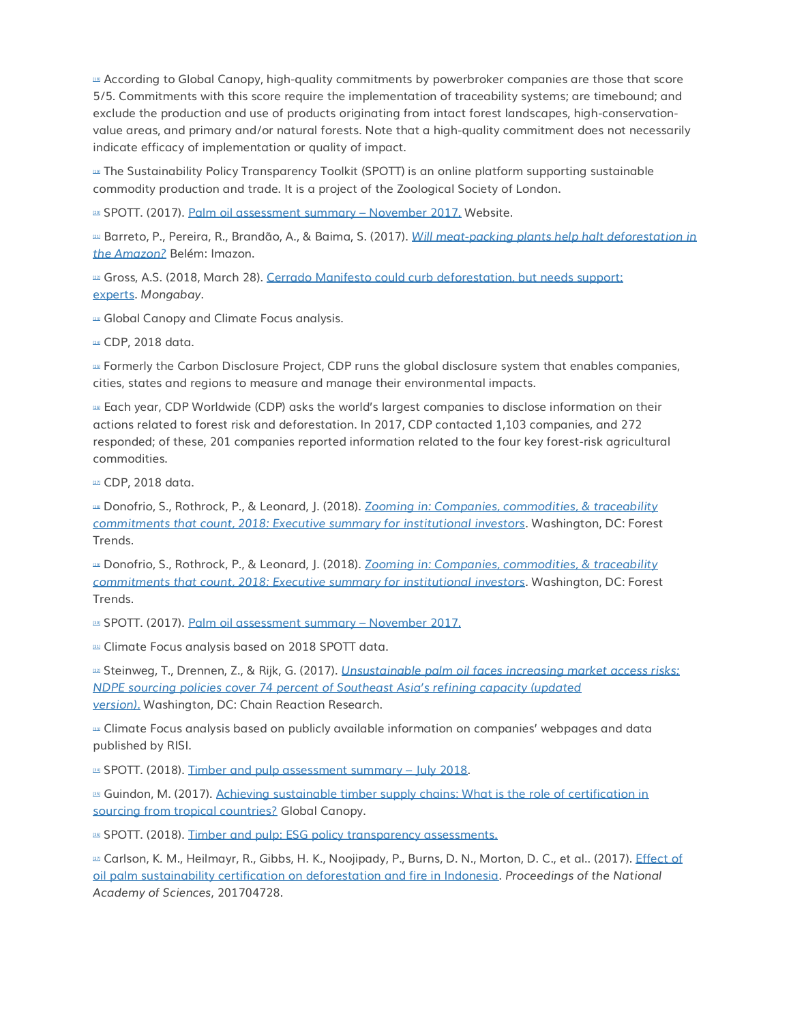[\[18\]](http://forestdeclaration.org/goal/goal-2/#_ednref18) According to Global Canopy, high-quality commitments by powerbroker companies are those that score 5/5. Commitments with this score require the implementation of traceability systems; are timebound; and exclude the production and use of products originating from intact forest landscapes, high-conservationvalue areas, and primary and/or natural forests. Note that a high-quality commitment does not necessarily indicate efficacy of implementation or quality of impact.

[\[19\]](http://forestdeclaration.org/goal/goal-2/#_ednref19) The Sustainability Policy Transparency Toolkit (SPOTT) is an online platform supporting sustainable commodity production and trade. It is a project of the Zoological Society of London.

**EXECTE:** (2017). [Palm oil assessment summary](https://www.spott.org/palm-oil-summary/) – November 2017. Website.

[\[21\]](http://forestdeclaration.org/goal/goal-2/#_ednref21) Barreto, P., Pereira, R., Brandão, A., & Baima, S. (2017). *[Will meat-packing plants help halt deforestation in](http://imazon.org.br/en/publicacoes/will-meat-packing-plants-help-halt-deforestation-in-the-amazon/)  [the Amazon?](http://imazon.org.br/en/publicacoes/will-meat-packing-plants-help-halt-deforestation-in-the-amazon/)* Belém: Imazon.

**EXECTS: A.S. (2018, March 28). Cerrado Manifesto could curb deforestation, but needs support:** [experts.](https://news.mongabay.com/2018/03/cerrado-manifesto-could-curb-deforestation-but-needs-support-experts/) *Mongabay*.

 $23$  Global Canopy and Climate Focus analysis.

[\[24\]](http://forestdeclaration.org/goal/goal-2/#_ednref24) CDP, 2018 data.

[\[25\]](http://forestdeclaration.org/goal/goal-2/#_ednref25) Formerly the Carbon Disclosure Project, CDP runs the global disclosure system that enables companies, cities, states and regions to measure and manage their environmental impacts.

[\[26\]](http://forestdeclaration.org/goal/goal-2/#_ednref26) Each year, CDP Worldwide (CDP) asks the world's largest companies to disclose information on their actions related to forest risk and deforestation. In 2017, CDP contacted 1,103 companies, and 272 responded; of these, 201 companies reported information related to the four key forest-risk agricultural commodities.

**PZI** CDP, 2018 data.

[\[28\]](http://forestdeclaration.org/goal/goal-2/#_ednref28) Donofrio, S., Rothrock, P., & Leonard, J. (2018). *[Zooming in: Companies, commodities, & traceability](https://www.forest-trends.org/wp-content/uploads/2018/04/doc_5748.pdf)  [commitments that count, 2018: Executive summary for institutional investors](https://www.forest-trends.org/wp-content/uploads/2018/04/doc_5748.pdf)*. Washington, DC: Forest Trends.

[\[29\]](http://forestdeclaration.org/goal/goal-2/#_ednref29) Donofrio, S., Rothrock, P., & Leonard, J. (2018). *[Zooming in: Companies, commodities, & traceability](https://www.forest-trends.org/wp-content/uploads/2018/04/doc_5748.pdf)  [commitments that count, 2018: Executive summary for institutional investors](https://www.forest-trends.org/wp-content/uploads/2018/04/doc_5748.pdf)*. Washington, DC: Forest Trends.

**EQUE SPOTT. (2017). [Palm oil assessment summary](https://www.spott.org/palm-oil-summary/) – November 2017.** 

**all** Climate Focus analysis based on 2018 SPOTT data.

[\[32\]](http://forestdeclaration.org/goal/goal-2/#_ednref32) Steinweg, T., Drennen, Z., & Rijk, G. (2017). *[Unsustainable palm oil faces increasing market access risks:](https://chainreactionresearch.com/wp-content/uploads/2017/11/unsustainable-palm-oil-faces-increasing-market-access-risks-final-1_updated-july-2018.pdf)  [NDPE sourcing policies cover 74 percent of Southeast Asia's refining capacity \(updated](https://chainreactionresearch.com/wp-content/uploads/2017/11/unsustainable-palm-oil-faces-increasing-market-access-risks-final-1_updated-july-2018.pdf)  [version\).](https://chainreactionresearch.com/wp-content/uploads/2017/11/unsustainable-palm-oil-faces-increasing-market-access-risks-final-1_updated-july-2018.pdf)* Washington, DC: Chain Reaction Research.

[\[33\]](http://forestdeclaration.org/goal/goal-2/#_ednref33) Climate Focus analysis based on publicly available information on companies' webpages and data published by RISI.

**B4 SPOTT. (2018). [Timber and pulp assessment summary](https://www.spott.org/timber-pulp-summary/) – July 2018.** 

[\[35\]](http://forestdeclaration.org/goal/goal-2/#_ednref35) Guindon, M. (2017). [Achieving sustainable timber supply chains: What is the role of certification in](http://globalcanopy.org/sites/default/files/documents/resources/F500-timber-web.pdf)  [sourcing from tropical countries?](http://globalcanopy.org/sites/default/files/documents/resources/F500-timber-web.pdf) Global Canopy.

BEG SPOTT. (2018). [Timber and pulp: ESG policy transparency assessments.](https://www.spott.org/timber-pulp/)

DE Carlson, K. M., Heilmayr, R., Gibbs, H. K., Noojipady, P., Burns, D. N., Morton, D. C., et al.. (2017). Effect of [oil palm sustainability certification on deforestation and fire in Indonesia.](https://doi.org/10.1073/pnas.1704728114) *Proceedings of the National Academy of Sciences*, 201704728.